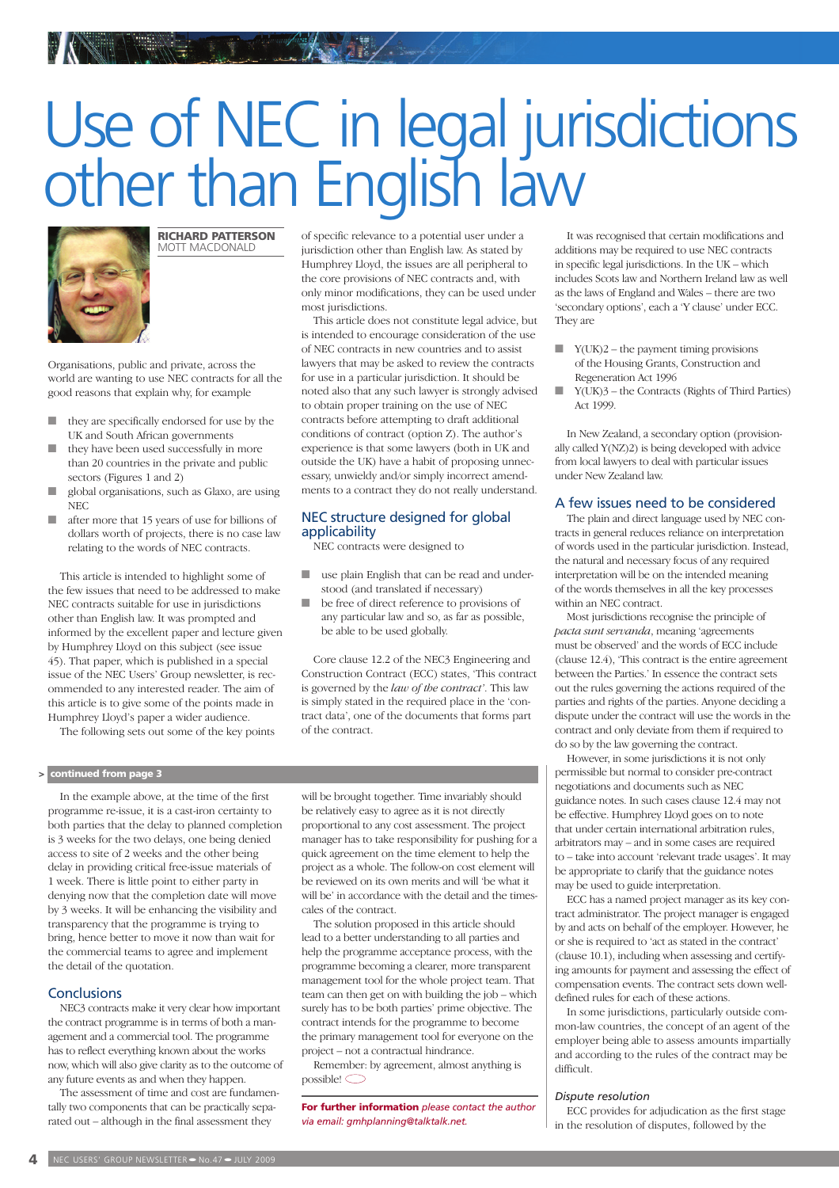# Use of NEC in legal jurisdictions other than English law



RICHARD PATTERSON MOTT MACDONALD

Organisations, public and private, across the world are wanting to use NEC contracts for all the good reasons that explain why, for example

- they are specifically endorsed for use by the UK and South African governments
- they have been used successfully in more than 20 countries in the private and public sectors (Figures 1 and 2)
- global organisations, such as Glaxo, are using NEC
- after more that 15 years of use for billions of dollars worth of projects, there is no case law relating to the words of NEC contracts.

This article is intended to highlight some of the few issues that need to be addressed to make NEC contracts suitable for use in jurisdictions other than English law. It was prompted and informed by the excellent paper and lecture given by Humphrey Lloyd on this subject (see issue 45). That paper, which is published in a special issue of the NEC Users' Group newsletter, is recommended to any interested reader. The aim of this article is to give some of the points made in Humphrey Lloyd's paper a wider audience.

The following sets out some of the key points

## > continued from page 3

In the example above, at the time of the first programme re-issue, it is a cast-iron certainty to both parties that the delay to planned completion is 3 weeks for the two delays, one being denied access to site of 2 weeks and the other being delay in providing critical free-issue materials of 1 week. There is little point to either party in denying now that the completion date will move by 3 weeks. It will be enhancing the visibility and transparency that the programme is trying to bring, hence better to move it now than wait for the commercial teams to agree and implement the detail of the quotation.

## **Conclusions**

NEC3 contracts make it very clear how important the contract programme is in terms of both a management and a commercial tool. The programme has to reflect everything known about the works now, which will also give clarity as to the outcome of any future events as and when they happen.

The assessment of time and cost are fundamentally two components that can be practically separated out – although in the final assessment they

of specific relevance to a potential user under a jurisdiction other than English law. As stated by Humphrey Lloyd, the issues are all peripheral to the core provisions of NEC contracts and, with only minor modifications, they can be used under most jurisdictions.

This article does not constitute legal advice, but is intended to encourage consideration of the use of NEC contracts in new countries and to assist lawyers that may be asked to review the contracts for use in a particular jurisdiction. It should be noted also that any such lawyer is strongly advised to obtain proper training on the use of NEC contracts before attempting to draft additional conditions of contract (option Z). The author's experience is that some lawyers (both in UK and outside the UK) have a habit of proposing unnecessary, unwieldy and/or simply incorrect amendments to a contract they do not really understand.

## NEC structure designed for global applicability

NEC contracts were designed to

- use plain English that can be read and understood (and translated if necessary)
- be free of direct reference to provisions of any particular law and so, as far as possible, be able to be used globally.

Core clause 12.2 of the NEC3 Engineering and Construction Contract (ECC) states, 'This contract is governed by the *law of the contract'*. This law is simply stated in the required place in the 'contract data', one of the documents that forms part of the contract.

will be brought together. Time invariably should be relatively easy to agree as it is not directly proportional to any cost assessment. The project manager has to take responsibility for pushing for a quick agreement on the time element to help the project as a whole. The follow-on cost element will be reviewed on its own merits and will 'be what it will be' in accordance with the detail and the timescales of the contract.

The solution proposed in this article should lead to a better understanding to all parties and help the programme acceptance process, with the programme becoming a clearer, more transparent management tool for the whole project team. That team can then get on with building the job – which surely has to be both parties' prime objective. The contract intends for the programme to become the primary management tool for everyone on the project – not a contractual hindrance.

Remember: by agreement, almost anything is  $_{\text{possible}}$ 

For further information *please contact the author via email: gmhplanning@talktalk.net.*

It was recognised that certain modifications and additions may be required to use NEC contracts in specific legal jurisdictions. In the UK – which includes Scots law and Northern Ireland law as well as the laws of England and Wales – there are two 'secondary options', each a 'Y clause' under ECC. They are

- $Y(UK)2$  the payment timing provisions of the Housing Grants, Construction and Regeneration Act 1996
- Y(UK)3 the Contracts (Rights of Third Parties) Act 1999.

In New Zealand, a secondary option (provisionally called Y(NZ)2) is being developed with advice from local lawyers to deal with particular issues under New Zealand law.

# A few issues need to be considered

The plain and direct language used by NEC contracts in general reduces reliance on interpretation of words used in the particular jurisdiction. Instead, the natural and necessary focus of any required interpretation will be on the intended meaning of the words themselves in all the key processes within an NEC contract.

Most jurisdictions recognise the principle of *pacta sunt servanda*, meaning 'agreements must be observed' and the words of ECC include (clause 12.4), 'This contract is the entire agreement between the Parties.' In essence the contract sets out the rules governing the actions required of the parties and rights of the parties. Anyone deciding a dispute under the contract will use the words in the contract and only deviate from them if required to do so by the law governing the contract.

However, in some jurisdictions it is not only permissible but normal to consider pre-contract negotiations and documents such as NEC guidance notes. In such cases clause 12.4 may not be effective. Humphrey Lloyd goes on to note that under certain international arbitration rules, arbitrators may – and in some cases are required to – take into account 'relevant trade usages'. It may be appropriate to clarify that the guidance notes may be used to guide interpretation.

ECC has a named project manager as its key contract administrator. The project manager is engaged by and acts on behalf of the employer. However, he or she is required to 'act as stated in the contract' (clause 10.1), including when assessing and certifying amounts for payment and assessing the effect of compensation events. The contract sets down welldefined rules for each of these actions.

In some jurisdictions, particularly outside common-law countries, the concept of an agent of the employer being able to assess amounts impartially and according to the rules of the contract may be difficult.

#### *Dispute resolution*

ECC provides for adjudication as the first stage in the resolution of disputes, followed by the